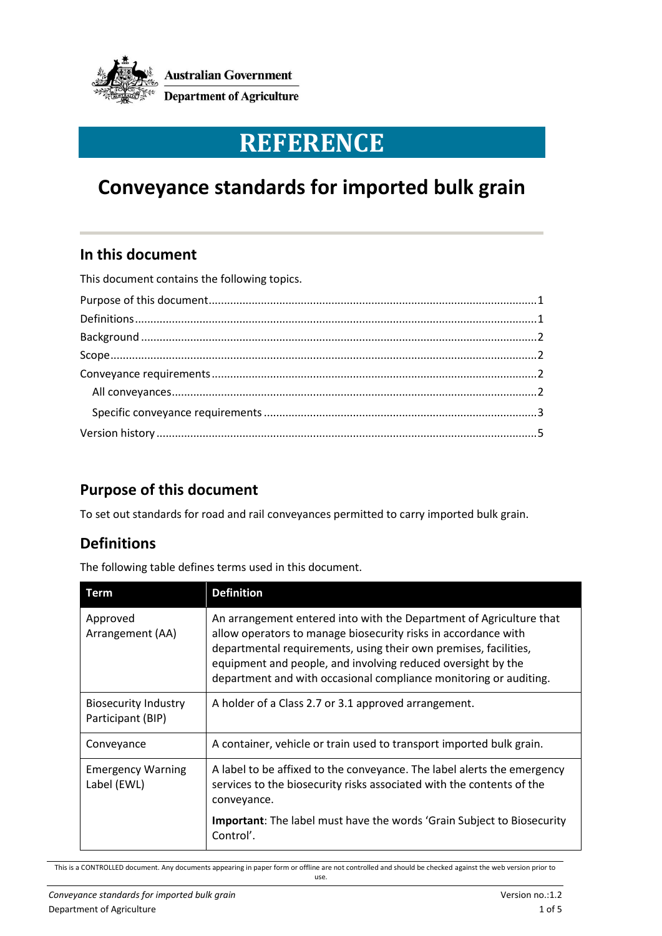

# **REFERENCE**

# **Conveyance standards for imported bulk grain**

#### **In this document**

This document contains the following topics. [Purpose of this document...........................................................................................................1](#page-0-0) [Definitions...................................................................................................................................1](#page-0-1) Background [.................................................................................................................................2](#page-1-0) [Scope...........................................................................................................................................2](#page-1-1) [Conveyance requirements..........................................................................................................2](#page-1-2) [All conveyances.......................................................................................................................2](#page-1-3) [Specific conveyance requirements.........................................................................................3](#page-2-0) Version history [............................................................................................................................5](#page-3-0)

## <span id="page-0-0"></span>**Purpose of this document**

To set out standards for road and rail conveyances permitted to carry imported bulk grain.

## <span id="page-0-1"></span>**Definitions**

The following table defines terms used in this document.

| Term                                             | <b>Definition</b>                                                                                                                                                                                                                                                                                                                              |
|--------------------------------------------------|------------------------------------------------------------------------------------------------------------------------------------------------------------------------------------------------------------------------------------------------------------------------------------------------------------------------------------------------|
| Approved<br>Arrangement (AA)                     | An arrangement entered into with the Department of Agriculture that<br>allow operators to manage biosecurity risks in accordance with<br>departmental requirements, using their own premises, facilities,<br>equipment and people, and involving reduced oversight by the<br>department and with occasional compliance monitoring or auditing. |
| <b>Biosecurity Industry</b><br>Participant (BIP) | A holder of a Class 2.7 or 3.1 approved arrangement.                                                                                                                                                                                                                                                                                           |
| Conveyance                                       | A container, vehicle or train used to transport imported bulk grain.                                                                                                                                                                                                                                                                           |
| <b>Emergency Warning</b><br>Label (EWL)          | A label to be affixed to the conveyance. The label alerts the emergency<br>services to the biosecurity risks associated with the contents of the<br>conveyance.                                                                                                                                                                                |
|                                                  | <b>Important:</b> The label must have the words 'Grain Subject to Biosecurity<br>Control'.                                                                                                                                                                                                                                                     |

This is a CONTROLLED document. Any documents appearing in paper form or offline are not controlled and should be checked against the web version prior to

use.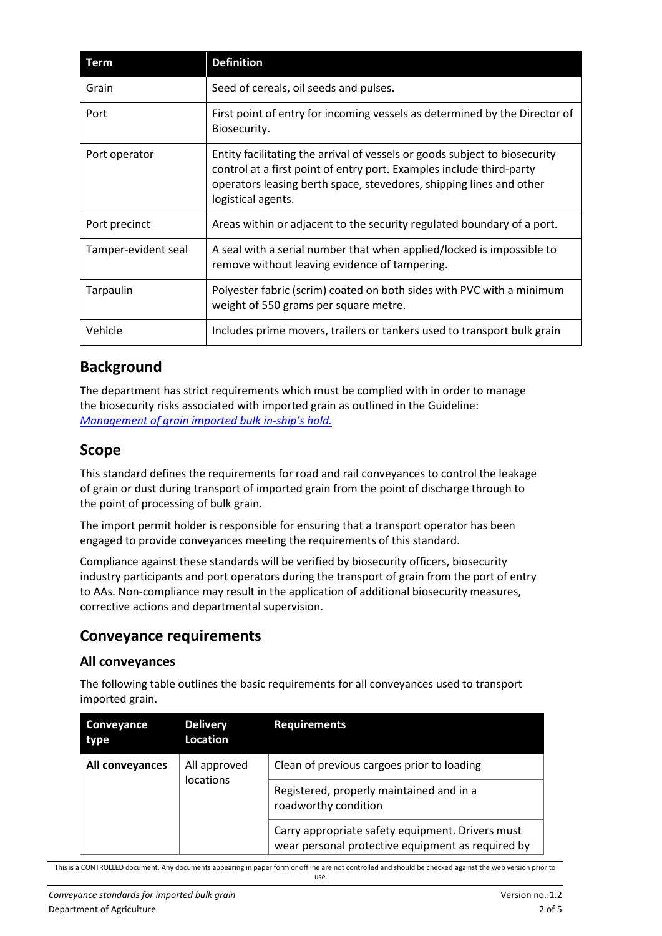| Term                | <b>Definition</b>                                                                                                                                                                                                                               |
|---------------------|-------------------------------------------------------------------------------------------------------------------------------------------------------------------------------------------------------------------------------------------------|
| Grain               | Seed of cereals, oil seeds and pulses.                                                                                                                                                                                                          |
| Port                | First point of entry for incoming vessels as determined by the Director of<br>Biosecurity.                                                                                                                                                      |
| Port operator       | Entity facilitating the arrival of vessels or goods subject to biosecurity<br>control at a first point of entry port. Examples include third-party<br>operators leasing berth space, stevedores, shipping lines and other<br>logistical agents. |
| Port precinct       | Areas within or adjacent to the security regulated boundary of a port.                                                                                                                                                                          |
| Tamper-evident seal | A seal with a serial number that when applied/locked is impossible to<br>remove without leaving evidence of tampering.                                                                                                                          |
| Tarpaulin           | Polyester fabric (scrim) coated on both sides with PVC with a minimum<br>weight of 550 grams per square metre.                                                                                                                                  |
| Vehicle             | Includes prime movers, trailers or tankers used to transport bulk grain                                                                                                                                                                         |

#### <span id="page-1-0"></span>**Background**

The department has strict requirements which must be complied with in order to manage the biosecurity risks associated with imported grain as outlined in the Guideline: *[Management of grain imported bulk in-](http://www.agriculture.gov.au/import/goods/plant-products/stockfeed-supplements/audit-questionnaires)ship's hold.*

#### <span id="page-1-1"></span>**Scope**

This standard defines the requirements for road and rail conveyances to control the leakage of grain or dust during transport of imported grain from the point of discharge through to the point of processing of bulk grain.

The import permit holder is responsible for ensuring that a transport operator has been engaged to provide conveyances meeting the requirements of this standard.

Compliance against these standards will be verified by biosecurity officers, biosecurity industry participants and port operators during the transport of grain from the port of entry to AAs. Non-compliance may result in the application of additional biosecurity measures, corrective actions and departmental supervision.

#### <span id="page-1-2"></span>**Conveyance requirements**

#### <span id="page-1-3"></span>**All conveyances**

The following table outlines the basic requirements for all conveyances used to transport imported grain.

| Conveyance<br>type | <b>Delivery</b><br>Location | <b>Requirements</b>                                                                                   |
|--------------------|-----------------------------|-------------------------------------------------------------------------------------------------------|
| All conveyances    | All approved<br>locations   | Clean of previous cargoes prior to loading                                                            |
|                    |                             | Registered, properly maintained and in a<br>roadworthy condition                                      |
|                    |                             | Carry appropriate safety equipment. Drivers must<br>wear personal protective equipment as required by |

This is a CONTROLLED document. Any documents appearing in paper form or offline are not controlled and should be checked against the web version prior to use.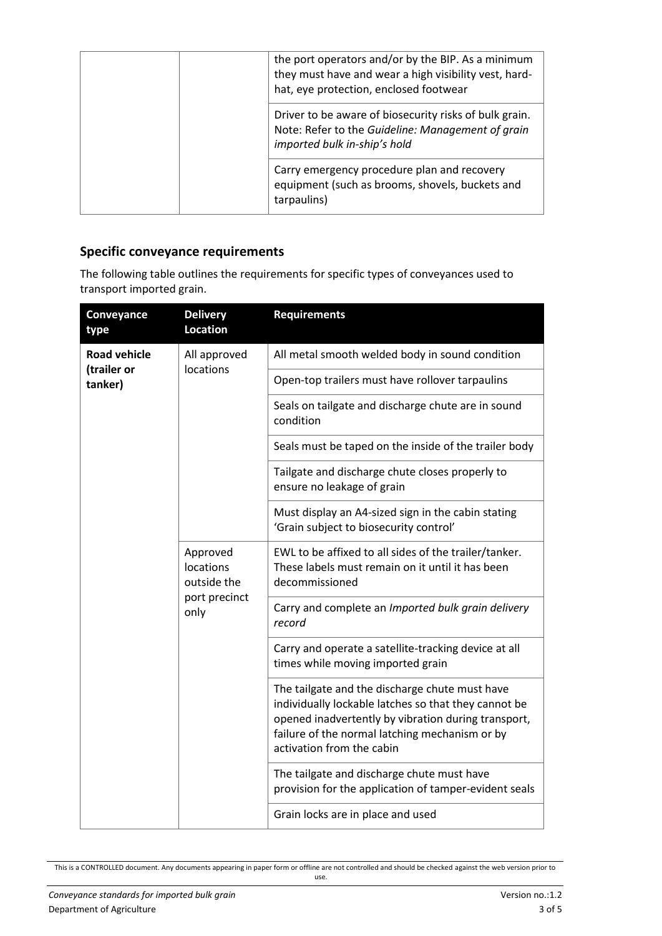| the port operators and/or by the BIP. As a minimum<br>they must have and wear a high visibility vest, hard-<br>hat, eye protection, enclosed footwear |
|-------------------------------------------------------------------------------------------------------------------------------------------------------|
| Driver to be aware of biosecurity risks of bulk grain.<br>Note: Refer to the Guideline: Management of grain<br>imported bulk in-ship's hold           |
| Carry emergency procedure plan and recovery<br>equipment (such as brooms, shovels, buckets and<br>tarpaulins)                                         |

#### <span id="page-2-0"></span>**Specific conveyance requirements**

The following table outlines the requirements for specific types of conveyances used to transport imported grain.

| Conveyance<br>type     | <b>Delivery</b><br><b>Location</b>                            | <b>Requirements</b>                                                                                                                                                                                                                          |
|------------------------|---------------------------------------------------------------|----------------------------------------------------------------------------------------------------------------------------------------------------------------------------------------------------------------------------------------------|
| <b>Road vehicle</b>    | All approved<br>locations                                     | All metal smooth welded body in sound condition                                                                                                                                                                                              |
| (trailer or<br>tanker) |                                                               | Open-top trailers must have rollover tarpaulins                                                                                                                                                                                              |
|                        |                                                               | Seals on tailgate and discharge chute are in sound<br>condition                                                                                                                                                                              |
|                        |                                                               | Seals must be taped on the inside of the trailer body                                                                                                                                                                                        |
|                        |                                                               | Tailgate and discharge chute closes properly to<br>ensure no leakage of grain                                                                                                                                                                |
|                        |                                                               | Must display an A4-sized sign in the cabin stating<br>'Grain subject to biosecurity control'                                                                                                                                                 |
|                        | Approved<br>locations<br>outside the<br>port precinct<br>only | EWL to be affixed to all sides of the trailer/tanker.<br>These labels must remain on it until it has been<br>decommissioned                                                                                                                  |
|                        |                                                               | Carry and complete an Imported bulk grain delivery<br>record                                                                                                                                                                                 |
|                        |                                                               | Carry and operate a satellite-tracking device at all<br>times while moving imported grain                                                                                                                                                    |
|                        |                                                               | The tailgate and the discharge chute must have<br>individually lockable latches so that they cannot be<br>opened inadvertently by vibration during transport,<br>failure of the normal latching mechanism or by<br>activation from the cabin |
|                        |                                                               | The tailgate and discharge chute must have<br>provision for the application of tamper-evident seals                                                                                                                                          |
|                        |                                                               | Grain locks are in place and used                                                                                                                                                                                                            |

This is a CONTROLLED document. Any documents appearing in paper form or offline are not controlled and should be checked against the web version prior to use.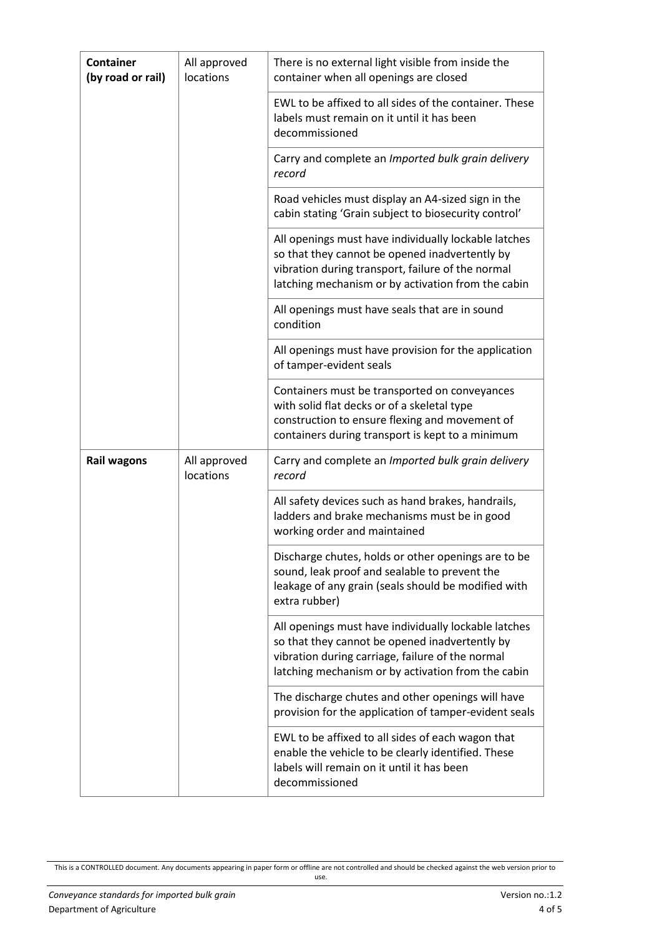| <b>Container</b><br>(by road or rail) | All approved<br>locations | There is no external light visible from inside the<br>container when all openings are closed                                                                                                                      |
|---------------------------------------|---------------------------|-------------------------------------------------------------------------------------------------------------------------------------------------------------------------------------------------------------------|
|                                       |                           | EWL to be affixed to all sides of the container. These<br>labels must remain on it until it has been<br>decommissioned                                                                                            |
|                                       |                           | Carry and complete an Imported bulk grain delivery<br>record                                                                                                                                                      |
|                                       |                           | Road vehicles must display an A4-sized sign in the<br>cabin stating 'Grain subject to biosecurity control'                                                                                                        |
|                                       |                           | All openings must have individually lockable latches<br>so that they cannot be opened inadvertently by<br>vibration during transport, failure of the normal<br>latching mechanism or by activation from the cabin |
|                                       |                           | All openings must have seals that are in sound<br>condition                                                                                                                                                       |
|                                       |                           | All openings must have provision for the application<br>of tamper-evident seals                                                                                                                                   |
|                                       |                           | Containers must be transported on conveyances<br>with solid flat decks or of a skeletal type<br>construction to ensure flexing and movement of<br>containers during transport is kept to a minimum                |
| <b>Rail wagons</b>                    | All approved<br>locations | Carry and complete an Imported bulk grain delivery<br>record                                                                                                                                                      |
|                                       |                           | All safety devices such as hand brakes, handrails,<br>ladders and brake mechanisms must be in good<br>working order and maintained                                                                                |
|                                       |                           | Discharge chutes, holds or other openings are to be<br>sound, leak proof and sealable to prevent the<br>leakage of any grain (seals should be modified with<br>extra rubber)                                      |
|                                       |                           | All openings must have individually lockable latches<br>so that they cannot be opened inadvertently by<br>vibration during carriage, failure of the normal<br>latching mechanism or by activation from the cabin  |
|                                       |                           | The discharge chutes and other openings will have<br>provision for the application of tamper-evident seals                                                                                                        |
|                                       |                           | EWL to be affixed to all sides of each wagon that<br>enable the vehicle to be clearly identified. These<br>labels will remain on it until it has been<br>decommissioned                                           |

<span id="page-3-0"></span>This is a CONTROLLED document. Any documents appearing in paper form or offline are not controlled and should be checked against the web version prior to use.